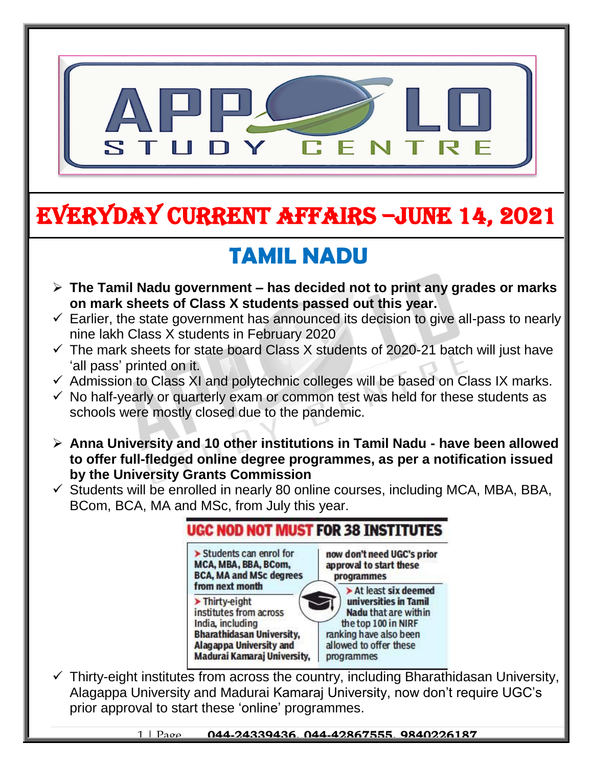

# EVERYDAY CURRENT AFFAIRS –jUNE 14, 2021

# **TAMIL NADU**

-

- **The Tamil Nadu government – has decided not to print any grades or marks on mark sheets of Class X students passed out this year.**
- $\checkmark$  Earlier, the state government has announced its decision to give all-pass to nearly nine lakh Class X students in February 2020
- $\checkmark$  The mark sheets for state board Class X students of 2020-21 batch will just have 'all pass' printed on it.
- $\checkmark$  Admission to Class XI and polytechnic colleges will be based on Class IX marks.
- $\checkmark$  No half-yearly or quarterly exam or common test was held for these students as schools were mostly closed due to the pandemic.
- **Anna University and 10 other institutions in Tamil Nadu - have been allowed to offer full-fledged online degree programmes, as per a notification issued by the University Grants Commission**
- $\checkmark$  Students will be enrolled in nearly 80 online courses, including MCA, MBA, BBA, BCom, BCA, MA and MSc, from July this year.

| > Students can enrol for         | now don't need UGC's prior |
|----------------------------------|----------------------------|
| MCA, MBA, BBA, BCom,             | approval to start these    |
| <b>BCA, MA and MSc degrees</b>   | programmes                 |
| from next month                  | > At least six deemed      |
| > Thirty-eight                   | universities in Tamil      |
| institutes from across           | Nadu that are within       |
| India, including                 | the top 100 in NIRF        |
| <b>Bharathidasan University,</b> | ranking have also been     |
| <b>Alagappa University and</b>   | allowed to offer these     |
| Madurai Kamaraj University,      | programmes                 |

 $\checkmark$  Thirty-eight institutes from across the country, including Bharathidasan University, Alagappa University and Madurai Kamaraj University, now don't require UGC's prior approval to start these 'online' programmes.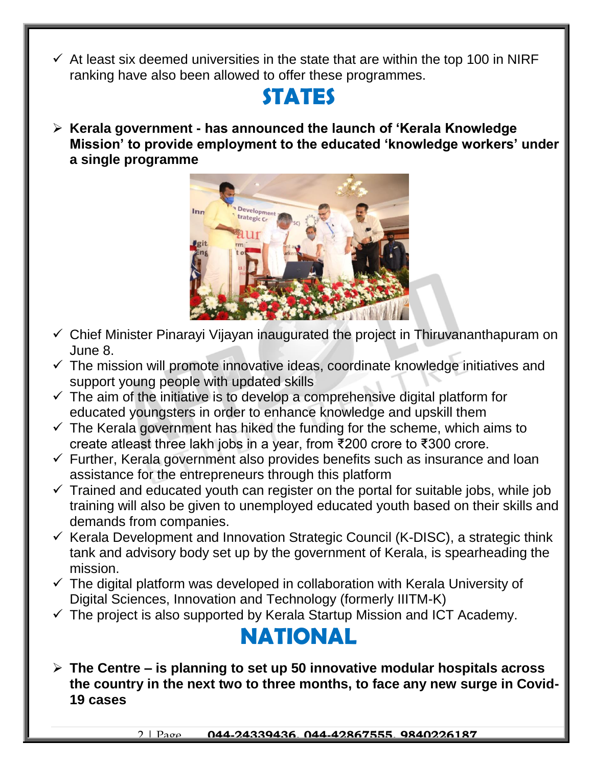$\checkmark$  At least six deemed universities in the state that are within the top 100 in NIRF ranking have also been allowed to offer these programmes.

#### **STATES**

 **Kerala government - has announced the launch of 'Kerala Knowledge Mission' to provide employment to the educated 'knowledge workers' under a single programme** 



- $\checkmark$  Chief Minister Pinarayi Vijayan inaugurated the project in Thiruvananthapuram on June 8.
- $\checkmark$  The mission will promote innovative ideas, coordinate knowledge initiatives and support young people with updated skills
- $\checkmark$  The aim of the initiative is to develop a comprehensive digital platform for educated youngsters in order to enhance knowledge and upskill them
- $\checkmark$  The Kerala government has hiked the funding for the scheme, which aims to create atleast three lakh jobs in a year, from ₹200 crore to ₹300 crore.
- $\checkmark$  Further, Kerala government also provides benefits such as insurance and loan assistance for the entrepreneurs through this platform
- $\checkmark$  Trained and educated youth can register on the portal for suitable jobs, while job training will also be given to unemployed educated youth based on their skills and demands from companies.
- $\checkmark$  Kerala Development and Innovation Strategic Council (K-DISC), a strategic think tank and advisory body set up by the government of Kerala, is spearheading the mission.
- $\checkmark$  The digital platform was developed in collaboration with Kerala University of Digital Sciences, Innovation and Technology (formerly IIITM-K)
- $\checkmark$  The project is also supported by Kerala Startup Mission and ICT Academy.

## **NATIONAL**

 **The Centre – is planning to set up 50 innovative modular hospitals across the country in the next two to three months, to face any new surge in Covid-19 cases**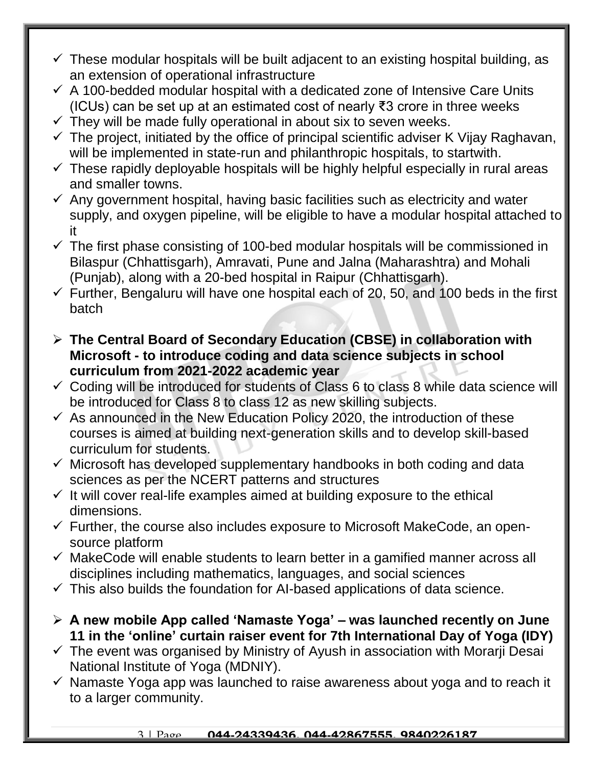- $\checkmark$  These modular hospitals will be built adjacent to an existing hospital building, as an extension of operational infrastructure
- $\checkmark$  A 100-bedded modular hospital with a dedicated zone of Intensive Care Units (ICUs) can be set up at an estimated cost of nearly ₹3 crore in three weeks
- $\checkmark$  They will be made fully operational in about six to seven weeks.
- $\checkmark$  The project, initiated by the office of principal scientific adviser K Vijay Raghavan, will be implemented in state-run and philanthropic hospitals, to startwith.
- $\checkmark$  These rapidly deployable hospitals will be highly helpful especially in rural areas and smaller towns.
- $\checkmark$  Any government hospital, having basic facilities such as electricity and water supply, and oxygen pipeline, will be eligible to have a modular hospital attached to it
- $\checkmark$  The first phase consisting of 100-bed modular hospitals will be commissioned in Bilaspur (Chhattisgarh), Amravati, Pune and Jalna (Maharashtra) and Mohali (Punjab), along with a 20-bed hospital in Raipur (Chhattisgarh).
- $\checkmark$  Further, Bengaluru will have one hospital each of 20, 50, and 100 beds in the first batch
- **The Central Board of Secondary Education (CBSE) in collaboration with Microsoft - to introduce coding and data science subjects in school curriculum from 2021-2022 academic year**
- $\checkmark$  Coding will be introduced for students of Class 6 to class 8 while data science will be introduced for Class 8 to class 12 as new skilling subjects.
- $\checkmark$  As announced in the New Education Policy 2020, the introduction of these courses is aimed at building next-generation skills and to develop skill-based curriculum for students.
- $\checkmark$  Microsoft has developed supplementary handbooks in both coding and data sciences as per the NCERT patterns and structures
- $\checkmark$  It will cover real-life examples aimed at building exposure to the ethical dimensions.
- $\checkmark$  Further, the course also includes exposure to Microsoft MakeCode, an opensource platform
- $\checkmark$  MakeCode will enable students to learn better in a gamified manner across all disciplines including mathematics, languages, and social sciences
- $\checkmark$  This also builds the foundation for AI-based applications of data science.
- **A new mobile App called 'Namaste Yoga' – was launched recently on June 11 in the 'online' curtain raiser event for 7th International Day of Yoga (IDY)**
- $\checkmark$  The event was organised by Ministry of Ayush in association with Morarii Desai National Institute of Yoga (MDNIY).
- $\checkmark$  Namaste Yoga app was launched to raise awareness about yoga and to reach it to a larger community.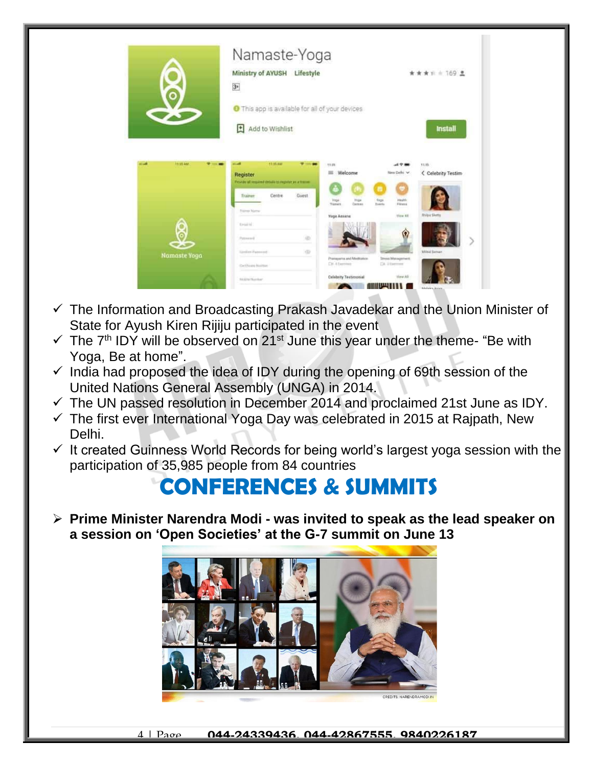

- $\checkmark$  The Information and Broadcasting Prakash Javadekar and the Union Minister of State for Ayush Kiren Rijiju participated in the event
- $\checkmark$  The 7<sup>th</sup> IDY will be observed on 21<sup>st</sup> June this year under the theme- "Be with Yoga, Be at home".
- $\checkmark$  India had proposed the idea of IDY during the opening of 69th session of the United Nations General Assembly (UNGA) in 2014.
- $\checkmark$  The UN passed resolution in December 2014 and proclaimed 21st June as IDY.
- $\checkmark$  The first ever International Yoga Day was celebrated in 2015 at Rajpath, New Delhi.
- $\checkmark$  It created Guinness World Records for being world's largest yoga session with the participation of 35,985 people from 84 countries

## **CONFERENCES & SUMMITS**

 **Prime Minister Narendra Modi - was invited to speak as the lead speaker on a session on 'Open Societies' at the G-7 summit on June 13**

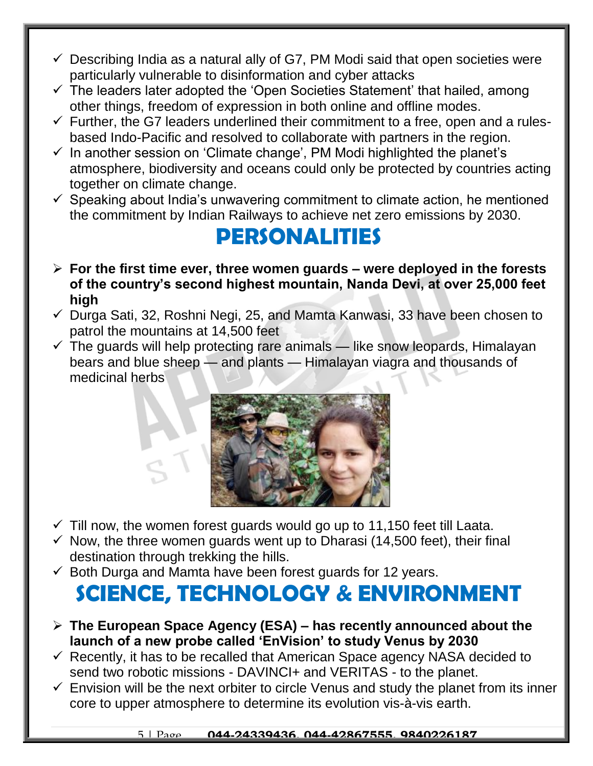- $\checkmark$  Describing India as a natural ally of G7, PM Modi said that open societies were particularly vulnerable to disinformation and cyber attacks
- $\checkmark$  The leaders later adopted the 'Open Societies Statement' that hailed, among other things, freedom of expression in both online and offline modes.
- $\checkmark$  Further, the G7 leaders underlined their commitment to a free, open and a rulesbased Indo-Pacific and resolved to collaborate with partners in the region.
- $\checkmark$  In another session on 'Climate change', PM Modi highlighted the planet's atmosphere, biodiversity and oceans could only be protected by countries acting together on climate change.
- $\checkmark$  Speaking about India's unwavering commitment to climate action, he mentioned the commitment by Indian Railways to achieve net zero emissions by 2030.

### **PERSONALITIES**

- **For the first time ever, three women guards – were deployed in the forests of the country's second highest mountain, Nanda Devi, at over 25,000 feet high**
- $\checkmark$  Durga Sati, 32, Roshni Negi, 25, and Mamta Kanwasi, 33 have been chosen to patrol the mountains at 14,500 feet
- $\checkmark$  The guards will help protecting rare animals like snow leopards, Himalayan bears and blue sheep — and plants — Himalayan viagra and thousands of medicinal herbs



- $\checkmark$  Till now, the women forest guards would go up to 11,150 feet till Laata.
- $\checkmark$  Now, the three women guards went up to Dharasi (14,500 feet), their final destination through trekking the hills.
- $\checkmark$  Both Durga and Mamta have been forest guards for 12 years.

# **SCIENCE, TECHNOLOGY & ENVIRONMENT**

- **The European Space Agency (ESA) – has recently announced about the launch of a new probe called 'EnVision' to study Venus by 2030**
- $\checkmark$  Recently, it has to be recalled that American Space agency NASA decided to send two robotic missions - DAVINCI+ and VERITAS - to the planet.
- $\checkmark$  Envision will be the next orbiter to circle Venus and study the planet from its inner core to upper atmosphere to determine its evolution vis-à-vis earth.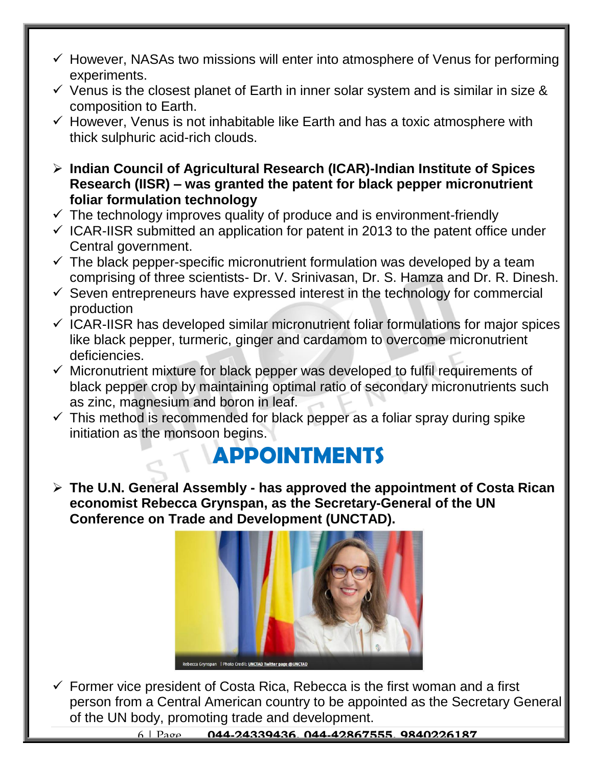- $\checkmark$  However, NASAs two missions will enter into atmosphere of Venus for performing experiments.
- $\checkmark$  Venus is the closest planet of Earth in inner solar system and is similar in size & composition to Earth.
- $\checkmark$  However, Venus is not inhabitable like Earth and has a toxic atmosphere with thick sulphuric acid-rich clouds.
- **Indian Council of Agricultural Research (ICAR)-Indian Institute of Spices Research (IISR) – was granted the patent for black pepper micronutrient foliar formulation technology**
- $\checkmark$  The technology improves quality of produce and is environment-friendly
- $\checkmark$  ICAR-IISR submitted an application for patent in 2013 to the patent office under Central government.
- $\checkmark$  The black pepper-specific micronutrient formulation was developed by a team comprising of three scientists- Dr. V. Srinivasan, Dr. S. Hamza and Dr. R. Dinesh.
- $\checkmark$  Seven entrepreneurs have expressed interest in the technology for commercial production
- $\checkmark$  ICAR-IISR has developed similar micronutrient foliar formulations for major spices like black pepper, turmeric, ginger and cardamom to overcome micronutrient deficiencies.
- $\checkmark$  Micronutrient mixture for black pepper was developed to fulfil requirements of black pepper crop by maintaining optimal ratio of secondary micronutrients such as zinc, magnesium and boron in leaf.
- $\checkmark$  This method is recommended for black pepper as a foliar spray during spike initiation as the monsoon begins.

# **APPOINTMENTS**

 **The U.N. General Assembly - has approved the appointment of Costa Rican economist Rebecca Grynspan, as the Secretary-General of the UN Conference on Trade and Development (UNCTAD).**



 $\checkmark$  Former vice president of Costa Rica, Rebecca is the first woman and a first person from a Central American country to be appointed as the Secretary General of the UN body, promoting trade and development.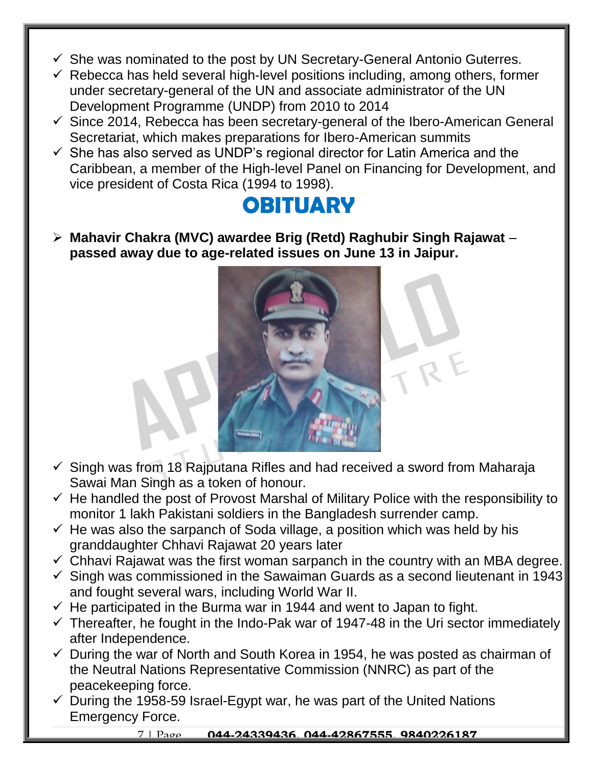- $\checkmark$  She was nominated to the post by UN Secretary-General Antonio Guterres.
- $\checkmark$  Rebecca has held several high-level positions including, among others, former under secretary-general of the UN and associate administrator of the UN Development Programme (UNDP) from 2010 to 2014
- $\checkmark$  Since 2014, Rebecca has been secretary-general of the Ibero-American General Secretariat, which makes preparations for Ibero-American summits
- $\checkmark$  She has also served as UNDP's regional director for Latin America and the Caribbean, a member of the High-level Panel on Financing for Development, and vice president of Costa Rica (1994 to 1998).

### **OBITUARY**

 **Mahavir Chakra (MVC) awardee Brig (Retd) Raghubir Singh Rajawat** – **passed away due to age-related issues on June 13 in Jaipur.**



- $\checkmark$  Singh was from 18 Rajputana Rifles and had received a sword from Maharaja Sawai Man Singh as a token of honour.
- $\checkmark$  He handled the post of Provost Marshal of Military Police with the responsibility to monitor 1 lakh Pakistani soldiers in the Bangladesh surrender camp.
- $\checkmark$  He was also the sarpanch of Soda village, a position which was held by his granddaughter Chhavi Rajawat 20 years later
- $\checkmark$  Chhavi Rajawat was the first woman sarpanch in the country with an MBA degree.
- $\checkmark$  Singh was commissioned in the Sawaiman Guards as a second lieutenant in 1943 and fought several wars, including World War II.
- $\checkmark$  He participated in the Burma war in 1944 and went to Japan to fight.
- $\checkmark$  Thereafter, he fought in the Indo-Pak war of 1947-48 in the Uri sector immediately after Independence.
- $\checkmark$  During the war of North and South Korea in 1954, he was posted as chairman of the Neutral Nations Representative Commission (NNRC) as part of the peacekeeping force.
- $\checkmark$  During the 1958-59 Israel-Egypt war, he was part of the United Nations Emergency Force.